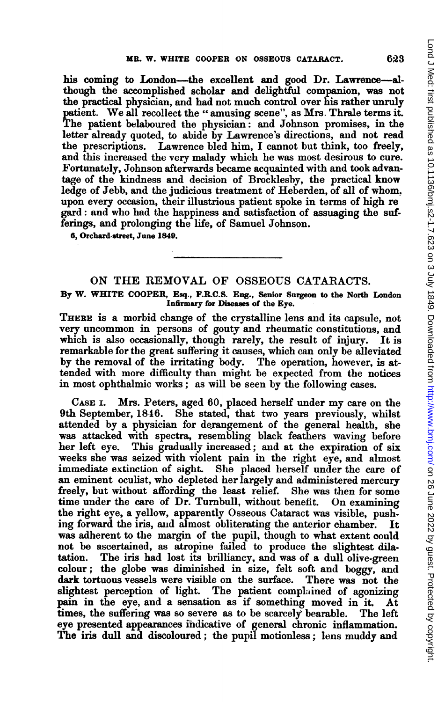his coming to London-the excellent and good Dr. Lawrence-although the accomplished scholar and delightful companion, was not the practical phyysician, and had not much control over his rather unruly patient. We all recollect the "amusing scene", as Mrs. Thrale terms it. The patient belaboured the physician: and Johnson promises, in the letter already quoted, to abide by Lawrence's directions, and not read the prescriptions. Lawrence bled him, I cannot but think, too freely, and this increased the very malady which he was most desirous to cure. Fortunatelry, Johnson afterwards became acquainted with and took advantage of the kindness and decision of Brocklesby, the practical know ledge of Jebb, and the judicious treatment of Heberden, of all of whom. upon every occasion, their illustrious patient spoke in terms of high re gard: and who had the happiness and satisfaction of assuaging the sufferings, and prolonging the life, of Samuel Johnson.

6, Orchard-street, June 1849.

## ON THE REMOVAL OF OSSEOUS CATARACTS. By W. WHITE COOPER, Esq., F.R.C.S. Eng., Senior Surgeon to the North London Infirmary for Diseases of the Eye.

THERE is a morbid change of the crystalline lens and its capsule, not very uncommon in persons of gouty and rheumatic constitutions, and which is also occasionally, though rarely, the result of injury. It is remarkable for the great suffering it causes, which can only be alleviated by the removal of the irritating body. The operation, however, is at, tended with more difficulty than might be expected from the notices in most ophthalmic works; as will be seen by the following cases.

CASE I. Mrs. Peters, aged 60, placed herself under my care on the 9th September, 1846. She stated, that two years previously, whilst attended by a physician for derangement of the general health, she was attacked with spectra, resembling black feathers waving before her left eye. This gradually increased; and at the expiration of six weeks she was seized with violent pain in the right eye, and almost immediate extinction of sight. She placed herself under the care of an eminent oculist, who depleted her largely and administered mercury freely, but without affording the least relief. She was then for some time under the care of Dr. Turnbull, without benefit. On examining the right eye, a yellow, apparently Osseous Cataract was visible, pushing forward the iris, and almost obliterating the anterior chamber. It was adherent to the margin of the pupil, though to what extent could not be ascertained, as atropine failed to produce the slightest dilatation. The iris had lost its brilliancy, and was of a dull olive-green colour; the globe was diminished in size, felt soft and boggy, and dark tortuous vessels were visible on the surface. There was not the slightest perception of light. The patient complained of agonizing pain in the eye, and a sensation as if something moved in it. At times, the suffering was so severe as to be scarcely bearable. The left eye presented appearances indicative of general chronic inflammation. The iris dull and discoloured; the pupil motionless; lens muddy and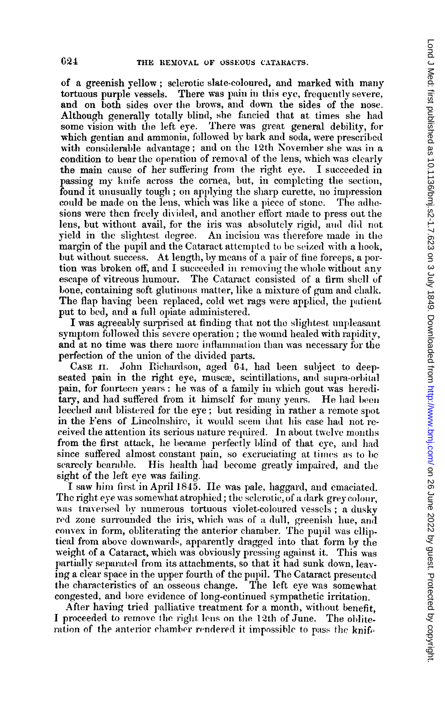of a greenish yellow; sclerotic slate-coloured, and marked with many<br>tortuous purple vessels. There was pain in this eye, frequently severe, There was pain in this eye, frequently severe, and on both sides over the brows, and down the sides of the nose. Although generally totally blind, she fancied that at times she had some vision with the left eye. There was great general debility, for which gentian and ammonia, followed by bark and soda, were prescribed with considerable advantage; and on the 12th November she was in a condition to bear the operation of removal of the lens, which was clearly the main cause of her suffering from the right eye. I succeeded in passing my knife across the cornea, but, in completing the section, found it unusually tough; on applying the sharp curette, no impression could be made on the lens, which was like a piece of stone. The adhesions were then freely divided, and another effort made to press out the lens, but without avail, for the iris was absolutely rigid, and did not yield in the slightest degree. An incision was therefore made in the margin of the pupil and the Cataract attempted to be seized with a hook, but without success. At length, by means of a pair of fine forceps, a portion was broken off, and I succeeded in removing the whole without any escane of vitreous humour. The Cataract consisted of a firm shell of The Cataract consisted of a firm shell of bone, containing soft glutinous matter, like a mixture of gum and chalk. The flap having been replaced, cold wet rags were applied, the patient put to bed, and a full opiate administered.

I was agreeably surprised at finding that not the slightest unpleasant symptom followed this severe operation; the wound healed with rapidity, and at no time was there more inflammation than was necessary for the perfection of the union of the divided parts.

CASE 11. Johni Riclhardson, aged 64, had been sulbject to deepseated pain in the right eye, muscæ, scintillations, and supra-orbital pain, for fourteen years: he was of a family in which gout was hereditary, and had suffered from it himself for many years. He had been leeched and blistered for the eye; but residing in rather a remote spot in the Fens of Lincolnshire, it would seem that his case had not received the attention its serious nature required. In about twelve months from the first attack, he became perfectly blind of that eye, and had since suffered almost constant pain, so excruciating at times as to be scarcely bearable. His health had become greatly impaired, and the sight of the left eve was failing.

I saw him first in April 1845. Ile was pale, haggard, and emaciated. The right eye was somewhat atrophied; the selerotic, of a dark grey colour, was traversed by numerous tortuous violet-coloured vessels; a dusky red zone surrounded the iris, which was of a dull, greenish hue, and convex in form, obliterating the anterior chamber. The pupil was elliptical from above downwards, apparently dragged into that form by the weight of a Cataract, which was obviously pressing against it. This was partially separated from its attachments, so that it had sunk down, leaving a clear space in the upper fourth of the pupil. The Cataract presented<br>the characteristics of an osseous change. The left eye was somewhat the characteristics of an osseous change. congested, and bore evidence of long-continued sympathetic irritation.

After having tried palliative treatment for a month, without benefit. I proceeded to remove the right lens on the 12th of June. The obliteration of the anterior chamber rendered it impossible to pass the knife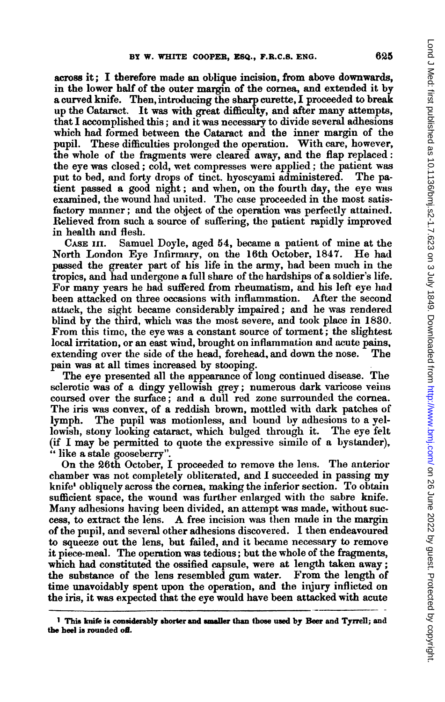across it; I tberefore made an oblique incision, from above downwards, in the lower half of the outer margin of the cornea, and extended it by a curved knife. Then, introducing the sharp curette, I proceeded to break up the Cataract. It was with great difficulty, and after many attempts, that I accomplished this; and it was necessary to divide several adhesions which had formed between the Cataract and the inner margin of the pupil. These difficulties prolonged the operation. With care, however, the whole of the fragments were cleared away, and the flap replaced: the eye was closed; cold, wet compresses were applied; the patient was put to bed, and forty drops of tinct. hyoscyami administered. The patient passed a good night; and wlhen, on the fourth day, the eye was examined, the wound had united. The case proceeded in the most satisfactory manner; and the object of the operation was perfectly attained. Relieved from such a source of suffering, the patient rapidly improved in health and flesh.

CASE III. Samuel Doyle, aged 54, became a patient of mine at the North London Eye Infirmary, on the 16th October, 1847. He had passed the greater part of his life in the army, had been much in the tropics, and had undergone a full share of the hardships of a soldier's life. For many years he had suffered from rheumatism, and his left eye had<br>been attacked on three occasions with inflammation. After the second been attacked on three occasions with inflammation. attack, the sight became considerably impaired; and he was rendered blind by the third, which was the most severe, and took place in 1830. From this timo, the eye was a constant source of torment; the slightest local irritation, or an east wind, brought on inflammation and acute pains, extending over the side of the head, forehead, and down the nose. The pain was at all times increased by stooping.

The eye presented all the appearance of long continued disease. The sclerotic was of a dingy yellowish grey; numerous dark varicose veins coursed over the surface; and a dull red zone surrounded the cornea. The iris was convex, of a reddish brown, mottled with dark patches of lymph. The pupil was motionless, and bound by adhesions to a yellowislh, stony looking cataract, which bulged through it. The eye felt (if I may be permitted to quote the expressive simile of a bystander), " like a stale gooseberry".

On the 26th October, I proceeded to remove the lens. The anterior chamber was not completely obliterated, and <sup>I</sup> succeeded in passing my knife' obliquely across the cornea, making the inferior section. To obtain sufficient space, the wound was further enlarged with the sabre knife. Many adhesions having been divided, an attempt was made, without success, to extract the lens. A free incision was then made in the margin of the pupil, and several other adhesions discovered. <sup>I</sup> then endeavoured to squeeze out the lens, but failed, and it became necessary to remove it piece-meal. The operation was tedious; but the whole of the fragments, which had constituted the ossified capsule, were at length taken away; the substance of the lens resembled gum water. From the length of time unavoidably spent upon the operation, and the injury inflicted on the iris, it was expected that the eye would have been attacked with acute

<sup>&</sup>lt;sup>1</sup> This knife is considerably shorter and smaller than those used by Beer and Tyrrell; and the heel is rounded off.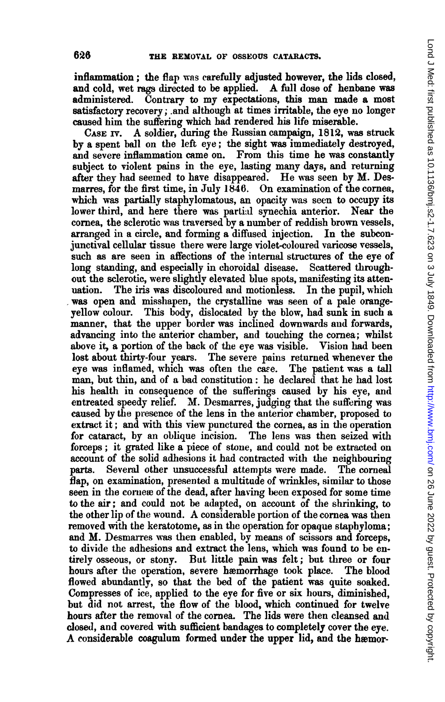inflammation; the flap was carefully adjusted however, the lids closed, and cold, wet rags directed to be applied. A full dose of henbane was administered. Contrary to my expectations, this man made <sup>a</sup> most satisfactory recovery; .and although at times irrtable, the eye no longer caused him the suffering which had rendered his life miserable.

CASE Fv. A soldier, during the Russian campaign, 1812, was struck by a spent ball on the left eye; the sight was immediately destroyed, and severe inflammation came on. From this time he was constantly subject to violent pains in the eye, lasting many days, and returning after they had seemed to have disappeared. He was seen by M. Desmarres, for the first time, in July 1846. On examination of the cornea, which was partially staphylomatous, an opacity was seen to occupy its lower third, and here there was partial synechia anterior. Near the cornea, the sclerotic was traversed by a number of reddish brown vessels, arranged in a circle, and forming a diffused injection. In the subconjunctival cellular tissue there were large violet-coloured varicose vessels, such as are seen in affections of the internal structures of the eye of long standing, and especially in choroidal disease. Scattered throughout the sclerotic, were slightlv elevated blue spots, manifesting its attenuation. The iris was discoloured and motionless. In the pupil, which was open and misshapen, the crystalline was seen of a pale orangeyellow colour. This body, dislocated by the blow, had sunk in such a manner, that the upper border was inclined downwards and forwards, advancing into the anterior chamber, and touching the cornea; whilst above it, a portion of the back of the eye was visible. Vision had been lost about thirty-four years. The severe pains returned whenever the eye was inflamed, which was often the case. The patient was a tall man, but thin, and of a bad constitution: he declared that he had lost his health in consequence of the sufferings caused by his eye, and entreated speedy relief. M. Desmarres, judging that the suffering was caused by the presence of the lens in the anterior chamber, proposed to extract it; and with this view punctured the cornea, as in the operation for cataract, by an oblique incision. The lens was then seized with forceps; it grated like a piece of stone, and could not be extracted on account of the solid adhesions it had contracted with the neighbouring parts. Several other unsuccessful attempts were made. The corneal flap, on examination, presented a multitude of wrinkles, similar to those seen in the cornex of the dead, after having been exposed for some time to the air; and could not be adapted, on account of the shrinking, to the other lip of the wound. A considerable portion of the cornea was then removed with the keratotome, as in the operation for opaque staphyloma; and M. Desmarres was then enabled, by means of scissors and forceps, to divide the adhesions and extract the lens, which was found to be entirely osseous, or stony. But little pain was felt; but three or four hours after the operation, severe hæmorrhage took place. The blood flowed abundantly, so that the bed of the patient was quite soaked. Compresses of ice, applied to the eye for five or six hours, diminished, but did not arrest, the flow of the blood, which continued for twelve hours after the removal of the cornea. The lids were then cleansed and closed, and covered with sufficient bandages to completely cover the eye. A considerable coagulum formed under the upper lid, and the hæmor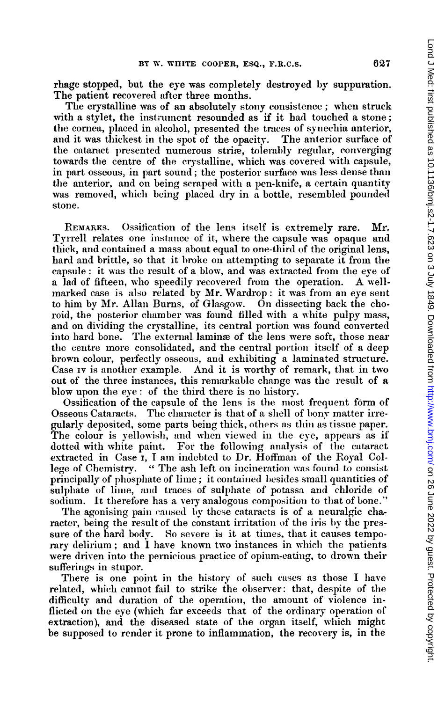rhage stopped, but the eye was completely destroyed by suppuration. The patient recovered after three months.

The crystalline was of an absolutely stony consistence; when struck with a stylet, the instrument resounded as if it had touched a stone; the cornea, placed in alcohol, presented the traces of synechia anterior, and it was thickest in the spot of the opacity. The anterior surface of the cataract presented numerous striæ, tolerably regular, converging towards the centre of the crystalline, which was covered with capsule, in part osseous, in part sound; the posterior surface was less dense than the anterior, and on being scraped with a pen-knife, a certain quantity was removed, which being placed dry in a bottle, resembled pounded stone.

REMARKS. Ossification of the lens itself is extremely rare. Mr. Tyrrell relates one instance of it, where the capsule was opaque and thick, and contaiined a mass about equal to one-third of the original lens, hard and brittle, so that it broke on attempting to separate it from the capsule: it was the result of a blow, and was extracted from the eye of <sup>a</sup> lad of fifteen, who speedily recovered from the operation. A wellmarked case is also related by Mr. Wardrop: it was from an eye sent to him by Mr. Allan Burns, of Glasgow. On dissecting back the choroid, the posterior chamber was found filled with a white pulpy mass, and on dividing the crystalline, its central portion was found converted into hard bone. The external lamina of the lens were soft, those near the centre more consolidated, and the central portion itself of a deep brown colour, perfectly osseous, and exhibiting a laminated structure. Case Iv is another example. And it is worthy of remark, that in two out of the three instances, this remarkable change was the result of a blow upon the eye: of the third there is no history.

Ossification of the capsule of the lens is the most frequent form of Osseous Cataracts. The character is that of a shell of bony matter irregularly deposited, some parts being thick, others as thin as tissue paper. The colour is yellowish, and when viewed in the eye, appears as if dotted with white paint. For the following analysis of the cataract extracted in Case I, I am indebted to Dr. Hoffman of the Royal College of Chemistry. " The ash left on incineration was found to consist principally of phosphate of lime; it contained besides small quantities of sulphate of lime, and traces of sulphate of potassa and chloride of sodium. It therefore has a very analogous composition to that of bone."

The agonising pain caused by these cataracts is of a neuralgic character, being the result of the constant irritation of the iris by the pressure of the hard body. So severe is it at times, that it causes temporary delirium; and I have known two instances in which the patients were driven into the pernicious practice of opium-eating, to drown their sufferings in stupor.

There is one point in the history of such cases as those  $I$  have related, which cannot fail to strike the observer: that, despite of the difficulty and duration of the operatiom, the amount of violence inflicted on the eye (which far exceeds that of the ordinary operation of extraction), and the diseased state of the organ itself, which might be supposed to render it prone to inflammation, the recovery is, in the